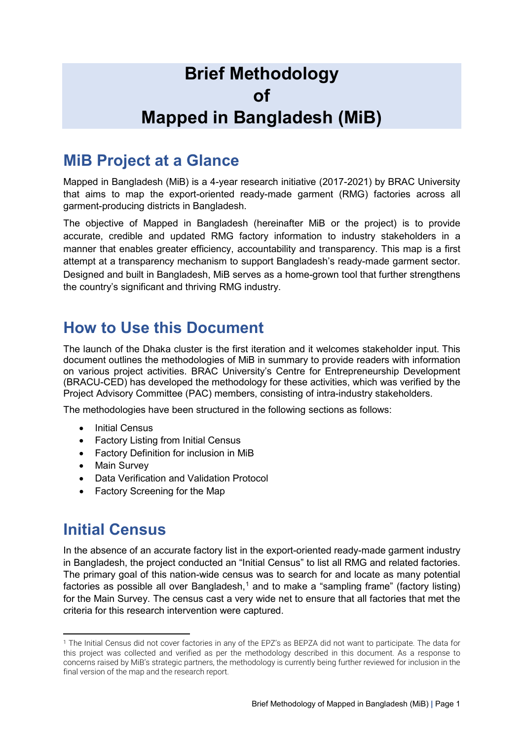# **Brief Methodology of Mapped in Bangladesh (MiB)**

### **MiB Project at a Glance**

Mapped in Bangladesh (MiB) is a 4-year research initiative (2017-2021) by BRAC University that aims to map the export-oriented ready-made garment (RMG) factories across all garment-producing districts in Bangladesh.

The objective of Mapped in Bangladesh (hereinafter MiB or the project) is to provide accurate, credible and updated RMG factory information to industry stakeholders in a manner that enables greater efficiency, accountability and transparency. This map is a first attempt at a transparency mechanism to support Bangladesh's ready-made garment sector. Designed and built in Bangladesh, MiB serves as a home-grown tool that further strengthens the country's significant and thriving RMG industry.

### **How to Use this Document**

The launch of the Dhaka cluster is the first iteration and it welcomes stakeholder input. This document outlines the methodologies of MiB in summary to provide readers with information on various project activities. BRAC University's Centre for Entrepreneurship Development (BRACU-CED) has developed the methodology for these activities, which was verified by the Project Advisory Committee (PAC) members, consisting of intra-industry stakeholders.

The methodologies have been structured in the following sections as follows:

- **Initial Census**
- Factory Listing from Initial Census
- Factory Definition for inclusion in MiB
- Main Survey
- Data Verification and Validation Protocol
- Factory Screening for the Map

### **Initial Census**

**.** 

In the absence of an accurate factory list in the export-oriented ready-made garment industry in Bangladesh, the project conducted an "Initial Census" to list all RMG and related factories. The primary goal of this nation-wide census was to search for and locate as many potential factories as possible all over Bangladesh,<sup>[1](#page-0-0)</sup> and to make a "sampling frame" (factory listing) for the Main Survey. The census cast a very wide net to ensure that all factories that met the criteria for this research intervention were captured.

<span id="page-0-0"></span><sup>1</sup> The Initial Census did not cover factories in any of the EPZ's as BEPZA did not want to participate. The data for this project was collected and verified as per the methodology described in this document. As a response to concerns raised by MiB's strategic partners, the methodology is currently being further reviewed for inclusion in the final version of the map and the research report.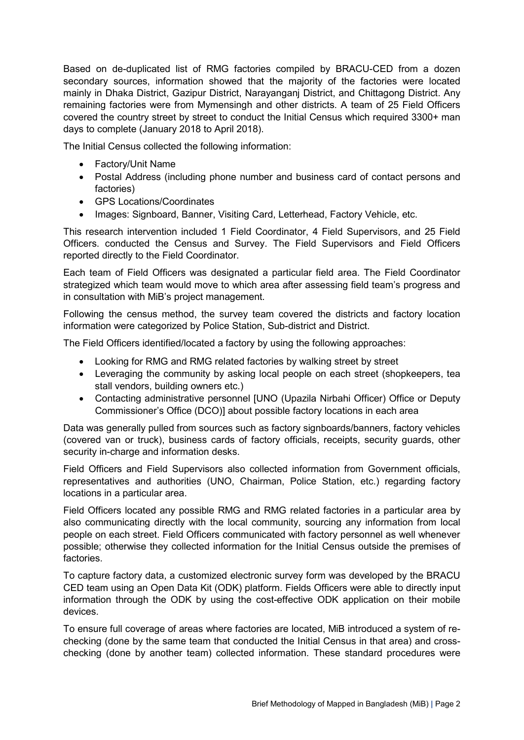Based on de-duplicated list of RMG factories compiled by BRACU-CED from a dozen secondary sources, information showed that the majority of the factories were located mainly in Dhaka District, Gazipur District, Narayanganj District, and Chittagong District. Any remaining factories were from Mymensingh and other districts. A team of 25 Field Officers covered the country street by street to conduct the Initial Census which required 3300+ man days to complete (January 2018 to April 2018).

The Initial Census collected the following information:

- Factory/Unit Name
- Postal Address (including phone number and business card of contact persons and factories)
- GPS Locations/Coordinates
- Images: Signboard, Banner, Visiting Card, Letterhead, Factory Vehicle, etc.

This research intervention included 1 Field Coordinator, 4 Field Supervisors, and 25 Field Officers. conducted the Census and Survey. The Field Supervisors and Field Officers reported directly to the Field Coordinator.

Each team of Field Officers was designated a particular field area. The Field Coordinator strategized which team would move to which area after assessing field team's progress and in consultation with MiB's project management.

Following the census method, the survey team covered the districts and factory location information were categorized by Police Station, Sub-district and District.

The Field Officers identified/located a factory by using the following approaches:

- Looking for RMG and RMG related factories by walking street by street
- Leveraging the community by asking local people on each street (shopkeepers, tea stall vendors, building owners etc.)
- Contacting administrative personnel [UNO (Upazila Nirbahi Officer) Office or Deputy Commissioner's Office (DCO)] about possible factory locations in each area

Data was generally pulled from sources such as factory signboards/banners, factory vehicles (covered van or truck), business cards of factory officials, receipts, security guards, other security in-charge and information desks.

Field Officers and Field Supervisors also collected information from Government officials, representatives and authorities (UNO, Chairman, Police Station, etc.) regarding factory locations in a particular area.

Field Officers located any possible RMG and RMG related factories in a particular area by also communicating directly with the local community, sourcing any information from local people on each street. Field Officers communicated with factory personnel as well whenever possible; otherwise they collected information for the Initial Census outside the premises of factories.

To capture factory data, a customized electronic survey form was developed by the BRACU CED team using an Open Data Kit (ODK) platform. Fields Officers were able to directly input information through the ODK by using the cost-effective ODK application on their mobile devices.

To ensure full coverage of areas where factories are located, MiB introduced a system of rechecking (done by the same team that conducted the Initial Census in that area) and crosschecking (done by another team) collected information. These standard procedures were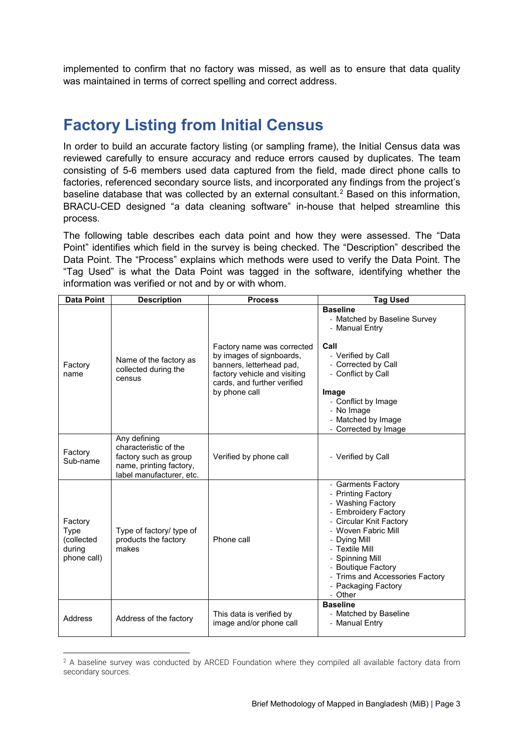implemented to confirm that no factory was missed, as well as to ensure that data quality was maintained in terms of correct spelling and correct address.

### **Factory Listing from Initial Census**

In order to build an accurate factory listing (or sampling frame), the Initial Census data was reviewed carefully to ensure accuracy and reduce errors caused by duplicates. The team consisting of 5-6 members used data captured from the field, made direct phone calls to factories, referenced secondary source lists, and incorporated any findings from the project's baseline database that was collected by an external consultant.<sup>[2](#page-2-0)</sup> Based on this information, BRACU-CED designed "a data cleaning software" in-house that helped streamline this process.

The following table describes each data point and how they were assessed. The "Data Point" identifies which field in the survey is being checked. The "Description" described the Data Point. The "Process" explains which methods were used to verify the Data Point. The "Tag Used" is what the Data Point was tagged in the software, identifying whether the information was verified or not and by or with whom.

| <b>Data Point</b>                                      | <b>Description</b>                                                                                                    | <b>Process</b>                                                                                                                                                     | <b>Tag Used</b>                                                                                                                                                                                                                                                                         |  |  |  |  |  |  |
|--------------------------------------------------------|-----------------------------------------------------------------------------------------------------------------------|--------------------------------------------------------------------------------------------------------------------------------------------------------------------|-----------------------------------------------------------------------------------------------------------------------------------------------------------------------------------------------------------------------------------------------------------------------------------------|--|--|--|--|--|--|
| Factory<br>name                                        | Name of the factory as<br>collected during the<br>census                                                              | Factory name was corrected<br>by images of signboards,<br>banners, letterhead pad,<br>factory vehicle and visiting<br>cards, and further verified<br>by phone call | <b>Baseline</b><br>- Matched by Baseline Survey<br>- Manual Entry<br>Call<br>- Verified by Call<br>- Corrected by Call<br>- Conflict by Call<br>Image<br>- Conflict by Image<br>- No Image<br>- Matched by Image<br>- Corrected by Image                                                |  |  |  |  |  |  |
| Factory<br>Sub-name                                    | Any defining<br>characteristic of the<br>factory such as group<br>name, printing factory,<br>label manufacturer, etc. | Verified by phone call                                                                                                                                             | - Verified by Call                                                                                                                                                                                                                                                                      |  |  |  |  |  |  |
| Factory<br>Type<br>(collected<br>during<br>phone call) | Type of factory/ type of<br>products the factory<br>makes                                                             | Phone call                                                                                                                                                         | - Garments Factory<br>- Printing Factory<br>- Washing Factory<br>- Embroidery Factory<br>- Circular Knit Factory<br>- Woven Fabric Mill<br>- Dying Mill<br>- Textile Mill<br>- Spinning Mill<br>- Boutique Factory<br>- Trims and Accessories Factory<br>- Packaging Factory<br>- Other |  |  |  |  |  |  |
| Address                                                | Address of the factory                                                                                                | This data is verified by<br>image and/or phone call                                                                                                                | <b>Baseline</b><br>- Matched by Baseline<br>- Manual Entry                                                                                                                                                                                                                              |  |  |  |  |  |  |

<span id="page-2-0"></span> $\overline{a}$ <sup>2</sup> A baseline survey was conducted by ARCED Foundation where they compiled all available factory data from secondary sources.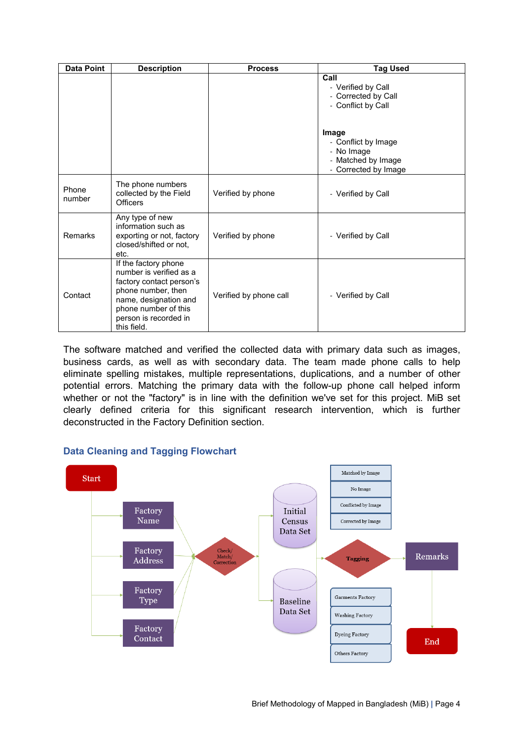| Data Point      | <b>Description</b>                                                                                                                                                                         | <b>Process</b>         | <b>Tag Used</b>                                                                          |  |  |  |  |  |
|-----------------|--------------------------------------------------------------------------------------------------------------------------------------------------------------------------------------------|------------------------|------------------------------------------------------------------------------------------|--|--|--|--|--|
|                 |                                                                                                                                                                                            |                        | Call<br>- Verified by Call<br>- Corrected by Call<br>- Conflict by Call                  |  |  |  |  |  |
|                 |                                                                                                                                                                                            |                        | Image<br>- Conflict by Image<br>- No Image<br>- Matched by Image<br>- Corrected by Image |  |  |  |  |  |
| Phone<br>number | The phone numbers<br>collected by the Field<br><b>Officers</b>                                                                                                                             | Verified by phone      | - Verified by Call                                                                       |  |  |  |  |  |
| Remarks         | Any type of new<br>information such as<br>exporting or not, factory<br>closed/shifted or not,<br>etc.                                                                                      | Verified by phone      | - Verified by Call                                                                       |  |  |  |  |  |
| Contact         | If the factory phone<br>number is verified as a<br>factory contact person's<br>phone number, then<br>name, designation and<br>phone number of this<br>person is recorded in<br>this field. | Verified by phone call | - Verified by Call                                                                       |  |  |  |  |  |

The software matched and verified the collected data with primary data such as images, business cards, as well as with secondary data. The team made phone calls to help eliminate spelling mistakes, multiple representations, duplications, and a number of other potential errors. Matching the primary data with the follow-up phone call helped inform whether or not the "factory" is in line with the definition we've set for this project. MiB set clearly defined criteria for this significant research intervention, which is further deconstructed in the Factory Definition section.



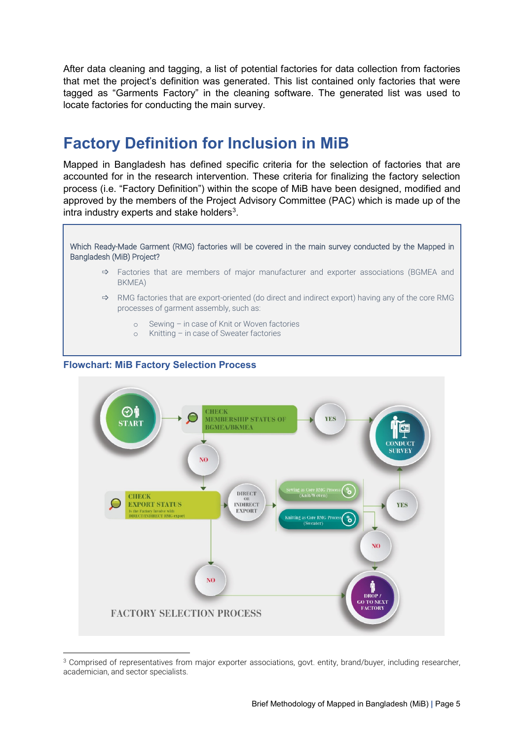After data cleaning and tagging, a list of potential factories for data collection from factories that met the project's definition was generated. This list contained only factories that were tagged as "Garments Factory" in the cleaning software. The generated list was used to locate factories for conducting the main survey.

### **Factory Definition for Inclusion in MiB**

Mapped in Bangladesh has defined specific criteria for the selection of factories that are accounted for in the research intervention. These criteria for finalizing the factory selection process (i.e. "Factory Definition") within the scope of MiB have been designed, modified and approved by the members of the Project Advisory Committee (PAC) which is made up of the intra industry experts and stake holders<sup>3</sup>.

Which Ready-Made Garment (RMG) factories will be covered in the main survey conducted by the Mapped in Bangladesh (MiB) Project?

- $\Rightarrow$  Factories that are members of major manufacturer and exporter associations (BGMEA and BKMEA)
- $\Rightarrow$  RMG factories that are export-oriented (do direct and indirect export) having any of the core RMG processes of garment assembly, such as:
	- o Sewing in case of Knit or Woven factories
	- o Knitting in case of Sweater factories

#### **Flowchart: MiB Factory Selection Process**



<span id="page-4-0"></span> $\overline{a}$ <sup>3</sup> Comprised of representatives from major exporter associations, govt. entity, brand/buyer, including researcher, academician, and sector specialists.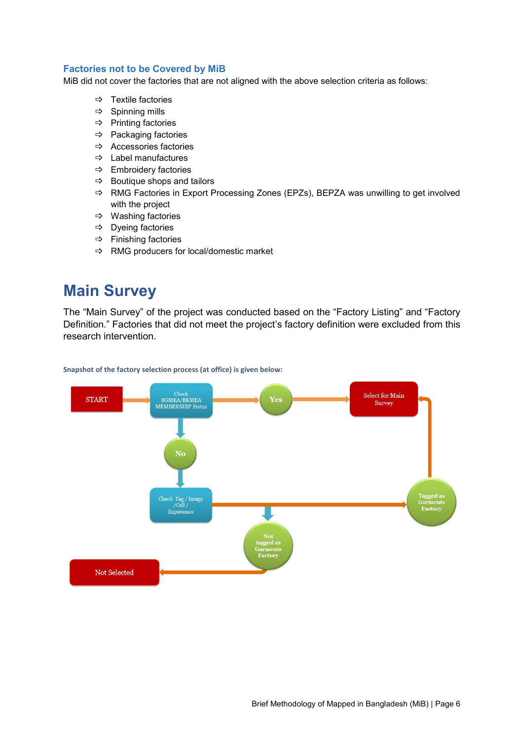#### **Factories not to be Covered by MiB**

MiB did not cover the factories that are not aligned with the above selection criteria as follows:

- $\Rightarrow$  Textile factories
- $\Rightarrow$  Spinning mills
- $\Rightarrow$  Printing factories
- $\Rightarrow$  Packaging factories
- $\Rightarrow$  Accessories factories
- $\Rightarrow$  Label manufactures
- $\Rightarrow$  Embroidery factories
- $\Rightarrow$  Boutique shops and tailors
- $\Rightarrow$  RMG Factories in Export Processing Zones (EPZs), BEPZA was unwilling to get involved with the project
- Washing factories
- $\Rightarrow$  Dyeing factories
- $\Rightarrow$  Finishing factories
- $\Rightarrow$  RMG producers for local/domestic market

### **Main Survey**

The "Main Survey" of the project was conducted based on the "Factory Listing" and "Factory Definition." Factories that did not meet the project's factory definition were excluded from this research intervention.



**Snapshot of the factory selection process (at office) is given below:**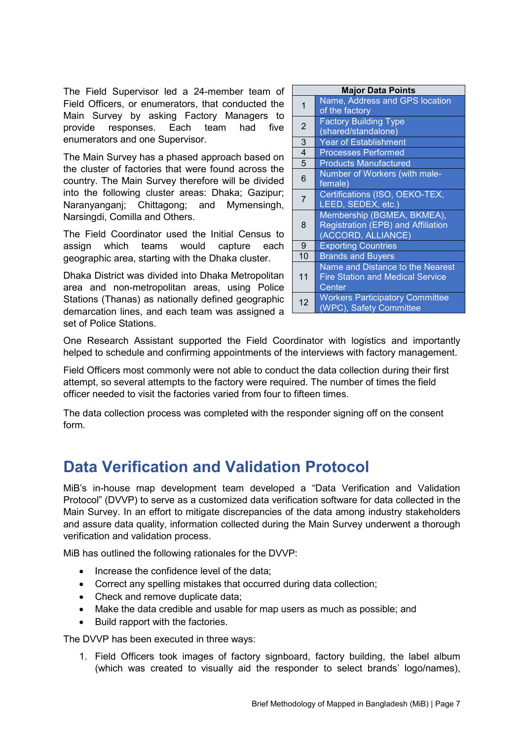The Field Supervisor led a 24-member team of Field Officers, or enumerators, that conducted the Main Survey by asking Factory Managers to provide responses. Each team had five enumerators and one Supervisor.

The Main Survey has a phased approach based on the cluster of factories that were found across the country. The Main Survey therefore will be divided into the following cluster areas: Dhaka; Gazipur; Naranyanganj; Chittagong; and Mymensingh, Narsingdi, Comilla and Others.

The Field Coordinator used the Initial Census to assign which teams would capture each geographic area, starting with the Dhaka cluster.

Dhaka District was divided into Dhaka Metropolitan area and non-metropolitan areas, using Police Stations (Thanas) as nationally defined geographic demarcation lines, and each team was assigned a set of Police Stations.

| <b>Major Data Points</b> |                                                                                        |  |  |  |  |
|--------------------------|----------------------------------------------------------------------------------------|--|--|--|--|
| $\overline{1}$           | Name, Address and GPS location<br>of the factory                                       |  |  |  |  |
| $\overline{2}$           | <b>Factory Building Type</b><br>(shared/standalone)                                    |  |  |  |  |
| 3                        | Year of Establishment                                                                  |  |  |  |  |
| $\overline{4}$           | <b>Processes Performed</b>                                                             |  |  |  |  |
| 5                        | <b>Products Manufactured</b>                                                           |  |  |  |  |
| 6                        | Number of Workers (with male-<br>female)                                               |  |  |  |  |
| $\overline{7}$           | Certifications (ISO, OEKO-TEX,<br>LEED, SEDEX, etc.)                                   |  |  |  |  |
| 8                        | Membership (BGMEA, BKMEA),<br>Registration (EPB) and Affiliation<br>(ACCORD, ALLIANCE) |  |  |  |  |
| 9                        | <b>Exporting Countries</b>                                                             |  |  |  |  |
| 10                       | <b>Brands and Buyers</b>                                                               |  |  |  |  |
| 11                       | Name and Distance to the Nearest<br><b>Fire Station and Medical Service</b><br>Center  |  |  |  |  |
| 12                       | <b>Workers Participatory Committee</b><br>(WPC), Safety Committee                      |  |  |  |  |

One Research Assistant supported the Field Coordinator with logistics and importantly helped to schedule and confirming appointments of the interviews with factory management.

Field Officers most commonly were not able to conduct the data collection during their first attempt, so several attempts to the factory were required. The number of times the field officer needed to visit the factories varied from four to fifteen times.

The data collection process was completed with the responder signing off on the consent form.

## **Data Verification and Validation Protocol**

MiB's in-house map development team developed a "Data Verification and Validation Protocol" (DVVP) to serve as a customized data verification software for data collected in the Main Survey. In an effort to mitigate discrepancies of the data among industry stakeholders and assure data quality, information collected during the Main Survey underwent a thorough verification and validation process.

MiB has outlined the following rationales for the DVVP:

- Increase the confidence level of the data;
- Correct any spelling mistakes that occurred during data collection;
- Check and remove duplicate data;
- Make the data credible and usable for map users as much as possible; and
- Build rapport with the factories.

The DVVP has been executed in three ways:

1. Field Officers took images of factory signboard, factory building, the label album (which was created to visually aid the responder to select brands' logo/names),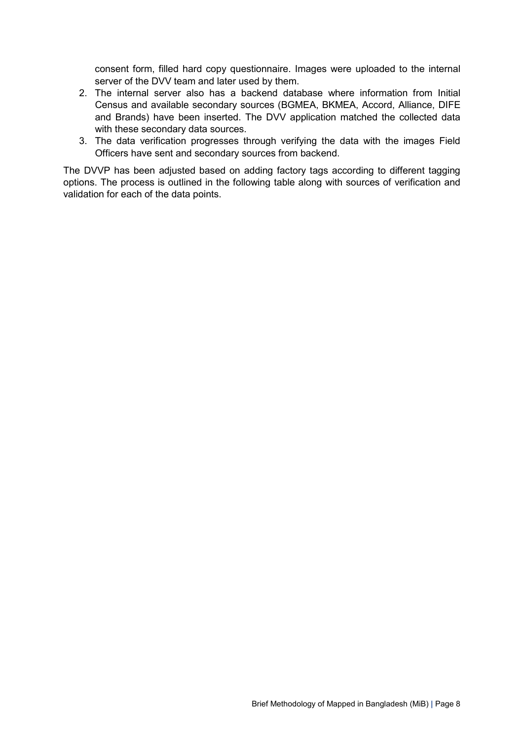consent form, filled hard copy questionnaire. Images were uploaded to the internal server of the DVV team and later used by them.

- 2. The internal server also has a backend database where information from Initial Census and available secondary sources (BGMEA, BKMEA, Accord, Alliance, DIFE and Brands) have been inserted. The DVV application matched the collected data with these secondary data sources.
- 3. The data verification progresses through verifying the data with the images Field Officers have sent and secondary sources from backend.

The DVVP has been adjusted based on adding factory tags according to different tagging options. The process is outlined in the following table along with sources of verification and validation for each of the data points.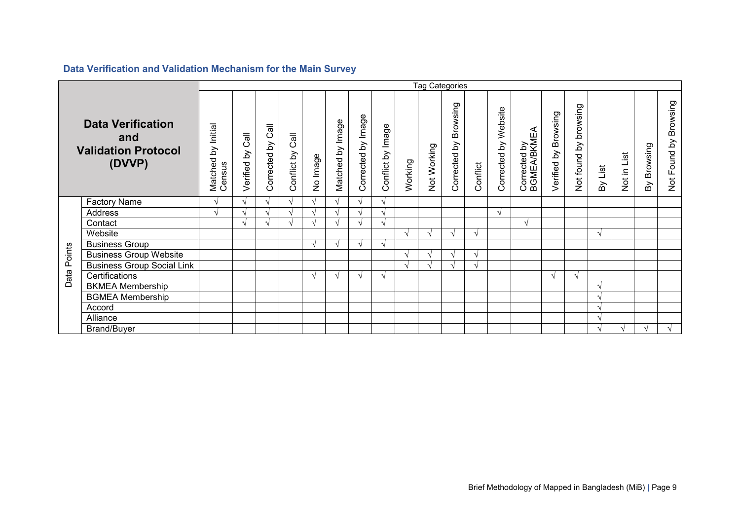|                                                                         |                                   |                              | <b>Tag Categories</b> |                     |                  |          |                   |                    |                   |            |             |                          |            |                      |                             |                      |                          |         |             |             |                       |
|-------------------------------------------------------------------------|-----------------------------------|------------------------------|-----------------------|---------------------|------------------|----------|-------------------|--------------------|-------------------|------------|-------------|--------------------------|------------|----------------------|-----------------------------|----------------------|--------------------------|---------|-------------|-------------|-----------------------|
| <b>Data Verification</b><br>and<br><b>Validation Protocol</b><br>(DVVP) |                                   | Matched by Initial<br>Census | Cal<br>Verified by    | Cal<br>Corrected by | Conflict by Call | No Image | Matched by Image  | Corrected by Image | Conflict by Image | Working    | Not Working | Browsing<br>Corrected by | Conflict   | Corrected by Website | Corrected by<br>BGMEA/BKMEA | Verified by Browsing | browsing<br>Not found by | By List | Not in List | By Browsing | Not Found by Browsing |
|                                                                         | <b>Factory Name</b>               | $\boldsymbol{\mathcal{A}}$   | $\sqrt{ }$            |                     |                  |          | $\mathbf \Lambda$ | $\sqrt{ }$         |                   |            |             |                          |            |                      |                             |                      |                          |         |             |             |                       |
|                                                                         | <b>Address</b>                    | $\mathbf \Lambda$            | $\Delta$              |                     |                  |          |                   |                    |                   |            |             |                          |            | $\sqrt{ }$           |                             |                      |                          |         |             |             |                       |
|                                                                         | Contact                           |                              | $\sqrt{ }$            |                     |                  |          | $\mathbf{\hat{}}$ |                    |                   |            |             |                          |            |                      | V                           |                      |                          |         |             |             |                       |
|                                                                         | Website                           |                              |                       |                     |                  |          |                   |                    |                   |            |             | $\sqrt{ }$               | V          |                      |                             |                      |                          |         |             |             |                       |
|                                                                         | <b>Business Group</b>             |                              |                       |                     |                  |          | $\Delta$          | $\mathcal{N}$      | $\mathcal{N}$     |            |             |                          |            |                      |                             |                      |                          |         |             |             |                       |
|                                                                         | <b>Business Group Website</b>     |                              |                       |                     |                  |          |                   |                    |                   | $\sqrt{ }$ |             | $\mathcal{N}$            | $\sqrt{ }$ |                      |                             |                      |                          |         |             |             |                       |
|                                                                         | <b>Business Group Social Link</b> |                              |                       |                     |                  |          |                   |                    |                   | $\sim$     |             | $\mathcal{N}$            | اد         |                      |                             |                      |                          |         |             |             |                       |
| ata Points<br>$\Omega$                                                  | Certifications                    |                              |                       |                     |                  |          | $\lambda$         | $\sqrt{ }$         |                   |            |             |                          |            |                      |                             | $\sqrt{ }$           |                          |         |             |             |                       |
|                                                                         | <b>BKMEA Membership</b>           |                              |                       |                     |                  |          |                   |                    |                   |            |             |                          |            |                      |                             |                      |                          |         |             |             |                       |
|                                                                         | <b>BGMEA Membership</b>           |                              |                       |                     |                  |          |                   |                    |                   |            |             |                          |            |                      |                             |                      |                          |         |             |             |                       |
|                                                                         | Accord                            |                              |                       |                     |                  |          |                   |                    |                   |            |             |                          |            |                      |                             |                      |                          |         |             |             |                       |
|                                                                         | Alliance                          |                              |                       |                     |                  |          |                   |                    |                   |            |             |                          |            |                      |                             |                      |                          |         |             |             |                       |
|                                                                         | <b>Brand/Buyer</b>                |                              |                       |                     |                  |          |                   |                    |                   |            |             |                          |            |                      |                             |                      |                          |         |             |             |                       |

### **Data Verification and Validation Mechanism for the Main Survey**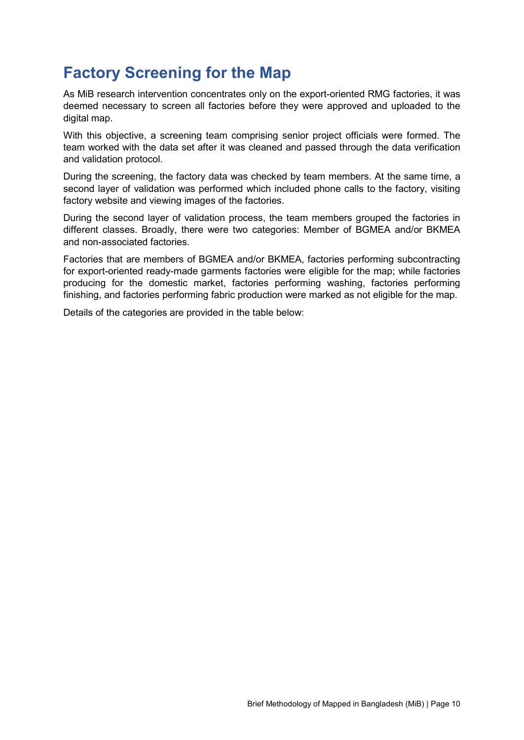## **Factory Screening for the Map**

As MiB research intervention concentrates only on the export-oriented RMG factories, it was deemed necessary to screen all factories before they were approved and uploaded to the digital map.

With this objective, a screening team comprising senior project officials were formed. The team worked with the data set after it was cleaned and passed through the data verification and validation protocol.

During the screening, the factory data was checked by team members. At the same time, a second layer of validation was performed which included phone calls to the factory, visiting factory website and viewing images of the factories.

During the second layer of validation process, the team members grouped the factories in different classes. Broadly, there were two categories: Member of BGMEA and/or BKMEA and non-associated factories.

Factories that are members of BGMEA and/or BKMEA, factories performing subcontracting for export-oriented ready-made garments factories were eligible for the map; while factories producing for the domestic market, factories performing washing, factories performing finishing, and factories performing fabric production were marked as not eligible for the map.

Details of the categories are provided in the table below: